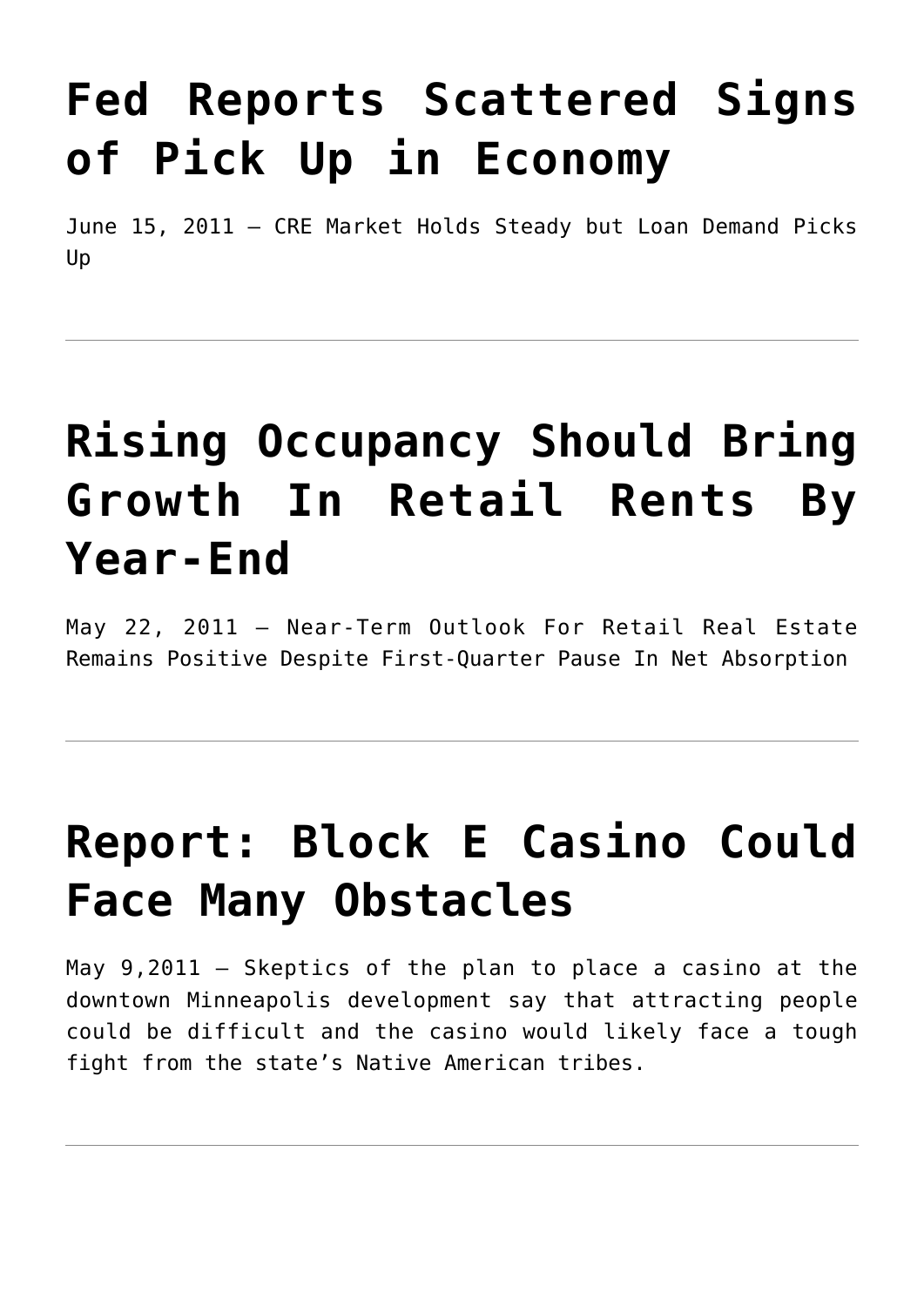# **[Fed Reports Scattered Signs](https://resultsrealestateinc.com/in-fed-reports/) [of Pick Up in Economy](https://resultsrealestateinc.com/in-fed-reports/)**

June 15, 2011 – CRE Market Holds Steady but Loan Demand Picks Up

## **[Rising Occupancy Should Bring](https://resultsrealestateinc.com/in-rising-occupancy/) [Growth In Retail Rents By](https://resultsrealestateinc.com/in-rising-occupancy/) [Year-End](https://resultsrealestateinc.com/in-rising-occupancy/)**

May 22, 2011 – Near-Term Outlook For Retail Real Estate Remains Positive Despite First-Quarter Pause In Net Absorption

### **[Report: Block E Casino Could](https://resultsrealestateinc.com/in-report-block-e-casino/) [Face Many Obstacles](https://resultsrealestateinc.com/in-report-block-e-casino/)**

May 9,2011 – Skeptics of the plan to place a casino at the downtown Minneapolis development say that attracting people could be difficult and the casino would likely face a tough fight from the state's Native American tribes.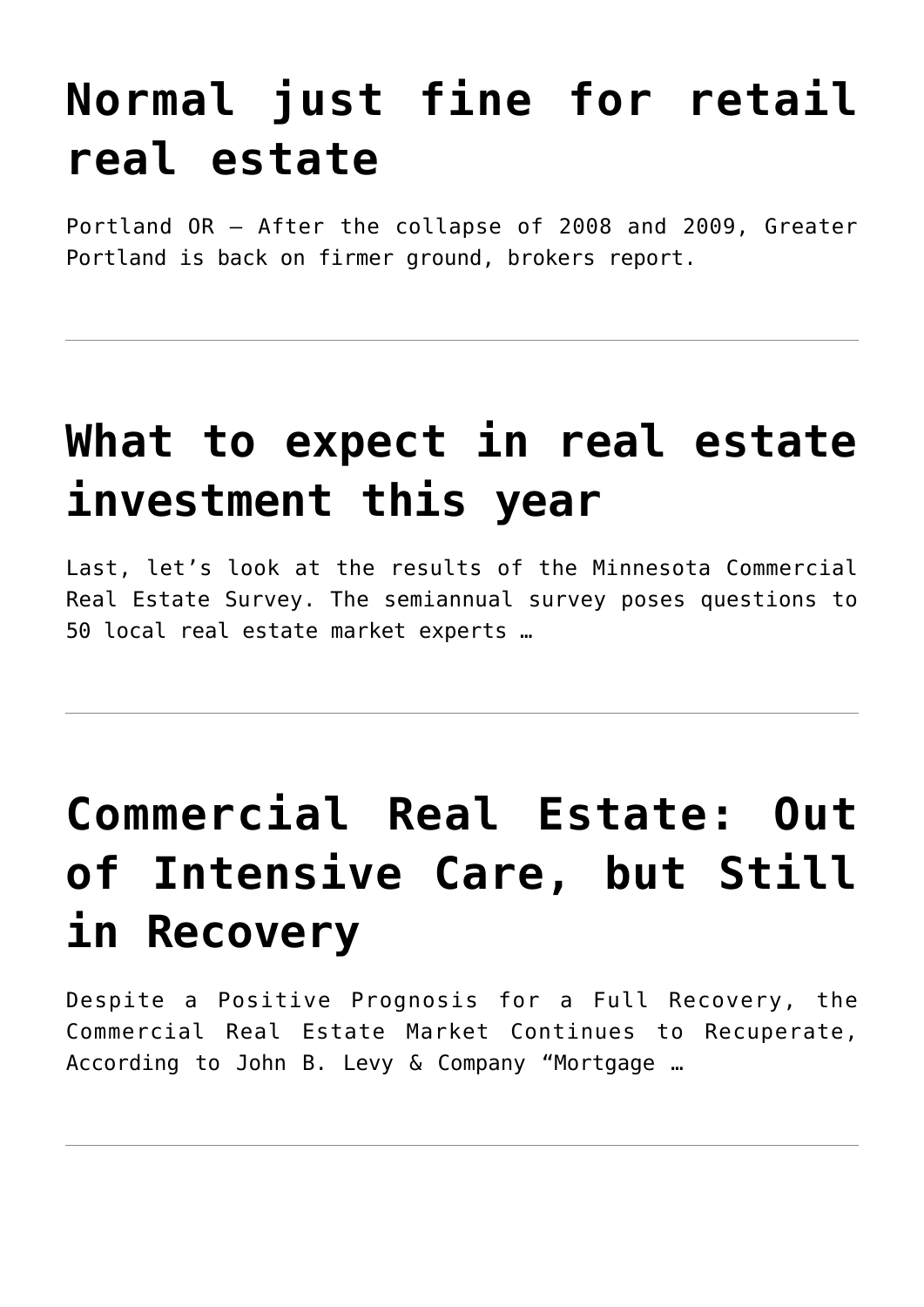## **[Normal just fine for retail](https://resultsrealestateinc.com/in-normal-just-fine/) [real estate](https://resultsrealestateinc.com/in-normal-just-fine/)**

Portland OR – After the collapse of 2008 and 2009, Greater Portland is back on firmer ground, brokers report.

#### **[What to expect in real estate](https://resultsrealestateinc.com/what-to-expect-in-real-estate-investment-this-year/) [investment this year](https://resultsrealestateinc.com/what-to-expect-in-real-estate-investment-this-year/)**

Last, let's look at the results of the Minnesota Commercial Real Estate Survey. The semiannual survey poses questions to 50 local real estate market experts …

# **[Commercial Real Estate: Out](https://resultsrealestateinc.com/in-commercial-real-estate/) [of Intensive Care, but Still](https://resultsrealestateinc.com/in-commercial-real-estate/) [in Recovery](https://resultsrealestateinc.com/in-commercial-real-estate/)**

Despite a Positive Prognosis for a Full Recovery, the Commercial Real Estate Market Continues to Recuperate, According to John B. Levy & Company "Mortgage …